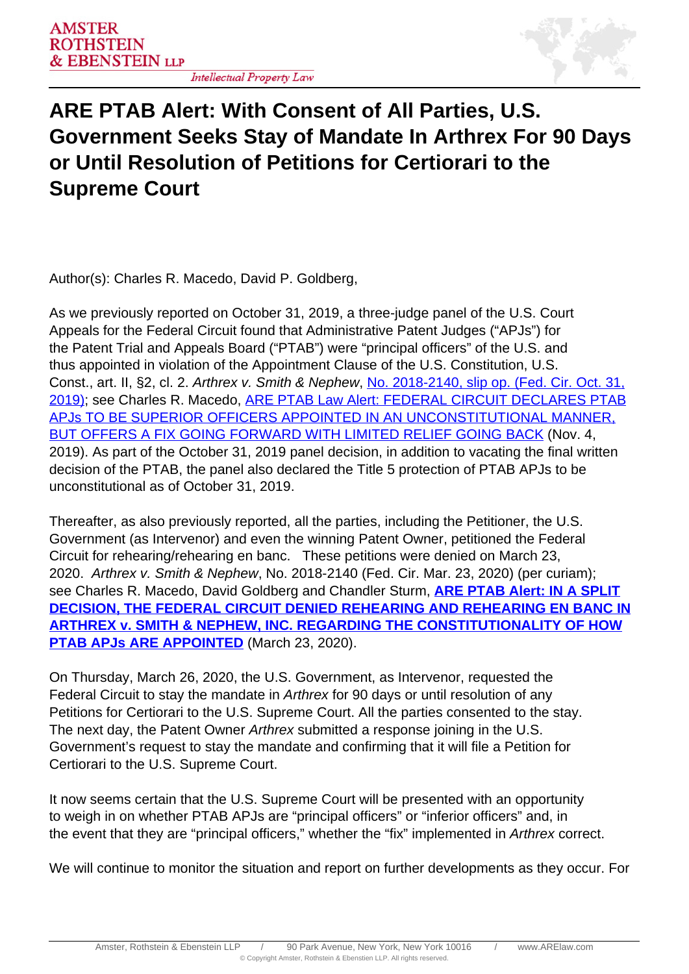## **ARE PTAB Alert: With Consent of All Parties, U.S. Government Seeks Stay of Mandate In Arthrex For 90 Days or Until Resolution of Petitions for Certiorari to the Supreme Court**

Author(s): Charles R. Macedo, David P. Goldberg,

As we previously reported on October 31, 2019, a three-judge panel of the U.S. Court Appeals for the Federal Circuit found that Administrative Patent Judges ("APJs") for the Patent Trial and Appeals Board ("PTAB") were "principal officers" of the U.S. and thus appointed in violation of the Appointment Clause of the U.S. Constitution, U.S. Const., art. II, §2, cl. 2. Arthrex v. Smith & Nephew, [No. 2018-2140, slip op. \(Fed. Cir. Oct. 31,](http://www.cafc.uscourts.gov/sites/default/files/opinions-orders/18-2140.Opinion.10-31-2019.pdf) [2019\)](http://www.cafc.uscourts.gov/sites/default/files/opinions-orders/18-2140.Opinion.10-31-2019.pdf); see Charles R. Macedo, ARE PTAB Law Alert: FEDERAL CIRCUIT DECLARES PTAB APJs TO BE SUPERIOR OFFICERS APPOINTED IN AN UNCONSTITUTIONAL MANNER, BUT OFFERS A FIX GOING FORWARD WITH LIMITED RELIEF GOING BACK (Nov. 4, 2019). As part of the October 31, 2019 panel decision, in addition to vacating the final written decision of the PTAB, the panel also declared the Title 5 protection of PTAB APJs to be unconstitutional as of October 31, 2019.

Thereafter, as also previously reported, all the parties, including the Petitioner, the U.S. Government (as Intervenor) and even the winning Patent Owner, petitioned the Federal Circuit for rehearing/rehearing en banc. These petitions were denied on March 23, 2020. Arthrex v. Smith & Nephew, No. 2018-2140 (Fed. Cir. Mar. 23, 2020) (per curiam); see Charles R. Macedo, David Goldberg and Chandler Sturm, **ARE PTAB Alert: IN A SPLIT DECISION, THE FEDERAL CIRCUIT DENIED REHEARING AND REHEARING EN BANC IN ARTHREX v. SMITH & NEPHEW, INC. REGARDING THE CONSTITUTIONALITY OF HOW PTAB APJs ARE APPOINTED** (March 23, 2020).

On Thursday, March 26, 2020, the U.S. Government, as Intervenor, requested the Federal Circuit to stay the mandate in Arthrex for 90 days or until resolution of any Petitions for Certiorari to the U.S. Supreme Court. All the parties consented to the stay. The next day, the Patent Owner Arthrex submitted a response joining in the U.S. Government's request to stay the mandate and confirming that it will file a Petition for Certiorari to the U.S. Supreme Court.

It now seems certain that the U.S. Supreme Court will be presented with an opportunity to weigh in on whether PTAB APJs are "principal officers" or "inferior officers" and, in the event that they are "principal officers," whether the "fix" implemented in Arthrex correct.

We will continue to monitor the situation and report on further developments as they occur. For